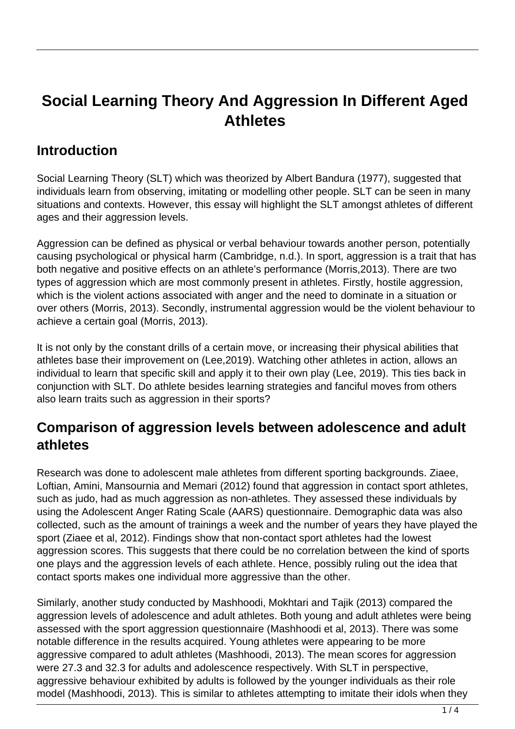# **Social Learning Theory And Aggression In Different Aged Athletes**

### **Introduction**

Social Learning Theory (SLT) which was theorized by Albert Bandura (1977), suggested that individuals learn from observing, imitating or modelling other people. SLT can be seen in many situations and contexts. However, this essay will highlight the SLT amongst athletes of different ages and their aggression levels.

Aggression can be defined as physical or verbal behaviour towards another person, potentially causing psychological or physical harm (Cambridge, n.d.). In sport, aggression is a trait that has both negative and positive effects on an athlete's performance (Morris,2013). There are two types of aggression which are most commonly present in athletes. Firstly, hostile aggression, which is the violent actions associated with anger and the need to dominate in a situation or over others (Morris, 2013). Secondly, instrumental aggression would be the violent behaviour to achieve a certain goal (Morris, 2013).

It is not only by the constant drills of a certain move, or increasing their physical abilities that athletes base their improvement on (Lee,2019). Watching other athletes in action, allows an individual to learn that specific skill and apply it to their own play (Lee, 2019). This ties back in conjunction with SLT. Do athlete besides learning strategies and fanciful moves from others also learn traits such as aggression in their sports?

#### **Comparison of aggression levels between adolescence and adult athletes**

Research was done to adolescent male athletes from different sporting backgrounds. Ziaee, Loftian, Amini, Mansournia and Memari (2012) found that aggression in contact sport athletes, such as judo, had as much aggression as non-athletes. They assessed these individuals by using the Adolescent Anger Rating Scale (AARS) questionnaire. Demographic data was also collected, such as the amount of trainings a week and the number of years they have played the sport (Ziaee et al, 2012). Findings show that non-contact sport athletes had the lowest aggression scores. This suggests that there could be no correlation between the kind of sports one plays and the aggression levels of each athlete. Hence, possibly ruling out the idea that contact sports makes one individual more aggressive than the other.

Similarly, another study conducted by Mashhoodi, Mokhtari and Tajik (2013) compared the aggression levels of adolescence and adult athletes. Both young and adult athletes were being assessed with the sport aggression questionnaire (Mashhoodi et al, 2013). There was some notable difference in the results acquired. Young athletes were appearing to be more aggressive compared to adult athletes (Mashhoodi, 2013). The mean scores for aggression were 27.3 and 32.3 for adults and adolescence respectively. With SLT in perspective, aggressive behaviour exhibited by adults is followed by the younger individuals as their role model (Mashhoodi, 2013). This is similar to athletes attempting to imitate their idols when they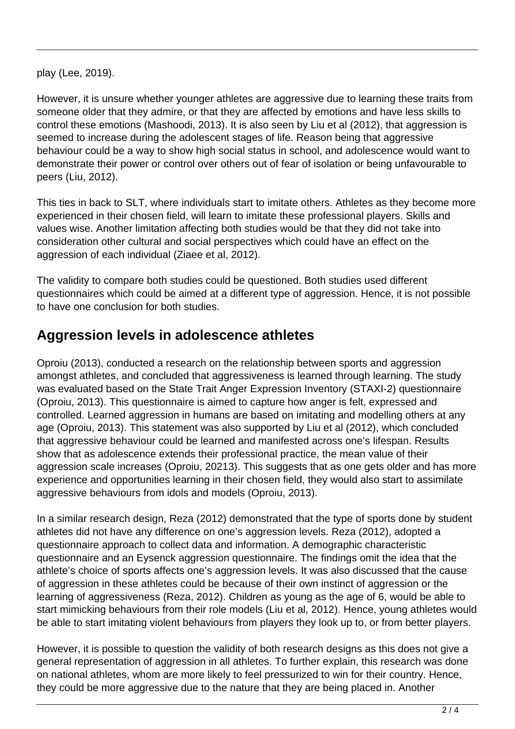play (Lee, 2019).

However, it is unsure whether younger athletes are aggressive due to learning these traits from someone older that they admire, or that they are affected by emotions and have less skills to control these emotions (Mashoodi, 2013). It is also seen by Liu et al (2012), that aggression is seemed to increase during the adolescent stages of life. Reason being that aggressive behaviour could be a way to show high social status in school, and adolescence would want to demonstrate their power or control over others out of fear of isolation or being unfavourable to peers (Liu, 2012).

This ties in back to SLT, where individuals start to imitate others. Athletes as they become more experienced in their chosen field, will learn to imitate these professional players. Skills and values wise. Another limitation affecting both studies would be that they did not take into consideration other cultural and social perspectives which could have an effect on the aggression of each individual (Ziaee et al, 2012).

The validity to compare both studies could be questioned. Both studies used different questionnaires which could be aimed at a different type of aggression. Hence, it is not possible to have one conclusion for both studies.

### **Aggression levels in adolescence athletes**

Oproiu (2013), conducted a research on the relationship between sports and aggression amongst athletes, and concluded that aggressiveness is learned through learning. The study was evaluated based on the State Trait Anger Expression Inventory (STAXI-2) questionnaire (Oproiu, 2013). This questionnaire is aimed to capture how anger is felt, expressed and controlled. Learned aggression in humans are based on imitating and modelling others at any age (Oproiu, 2013). This statement was also supported by Liu et al (2012), which concluded that aggressive behaviour could be learned and manifested across one's lifespan. Results show that as adolescence extends their professional practice, the mean value of their aggression scale increases (Oproiu, 20213). This suggests that as one gets older and has more experience and opportunities learning in their chosen field, they would also start to assimilate aggressive behaviours from idols and models (Oproiu, 2013).

In a similar research design, Reza (2012) demonstrated that the type of sports done by student athletes did not have any difference on one's aggression levels. Reza (2012), adopted a questionnaire approach to collect data and information. A demographic characteristic questionnaire and an Eysenck aggression questionnaire. The findings omit the idea that the athlete's choice of sports affects one's aggression levels. It was also discussed that the cause of aggression in these athletes could be because of their own instinct of aggression or the learning of aggressiveness (Reza, 2012). Children as young as the age of 6, would be able to start mimicking behaviours from their role models (Liu et al, 2012). Hence, young athletes would be able to start imitating violent behaviours from players they look up to, or from better players.

However, it is possible to question the validity of both research designs as this does not give a general representation of aggression in all athletes. To further explain, this research was done on national athletes, whom are more likely to feel pressurized to win for their country. Hence, they could be more aggressive due to the nature that they are being placed in. Another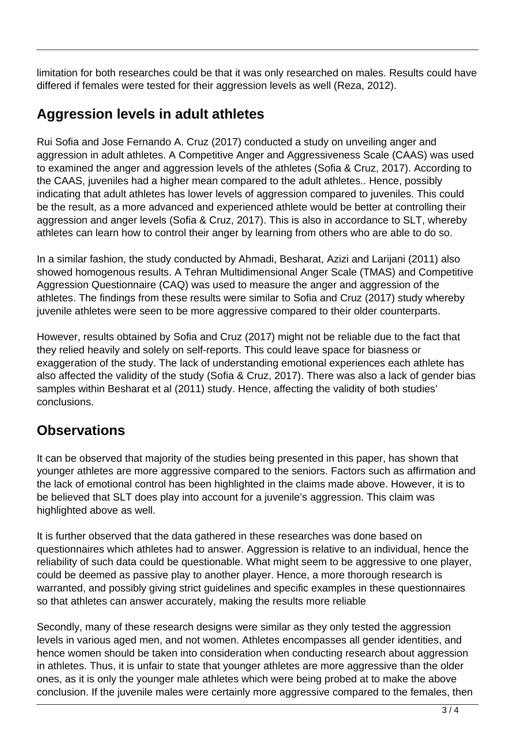limitation for both researches could be that it was only researched on males. Results could have differed if females were tested for their aggression levels as well (Reza, 2012).

### **Aggression levels in adult athletes**

Rui Sofia and Jose Fernando A. Cruz (2017) conducted a study on unveiling anger and aggression in adult athletes. A Competitive Anger and Aggressiveness Scale (CAAS) was used to examined the anger and aggression levels of the athletes (Sofia & Cruz, 2017). According to the CAAS, juveniles had a higher mean compared to the adult athletes.. Hence, possibly indicating that adult athletes has lower levels of aggression compared to juveniles. This could be the result, as a more advanced and experienced athlete would be better at controlling their aggression and anger levels (Sofia & Cruz, 2017). This is also in accordance to SLT, whereby athletes can learn how to control their anger by learning from others who are able to do so.

In a similar fashion, the study conducted by Ahmadi, Besharat, Azizi and Larijani (2011) also showed homogenous results. A Tehran Multidimensional Anger Scale (TMAS) and Competitive Aggression Questionnaire (CAQ) was used to measure the anger and aggression of the athletes. The findings from these results were similar to Sofia and Cruz (2017) study whereby juvenile athletes were seen to be more aggressive compared to their older counterparts.

However, results obtained by Sofia and Cruz (2017) might not be reliable due to the fact that they relied heavily and solely on self-reports. This could leave space for biasness or exaggeration of the study. The lack of understanding emotional experiences each athlete has also affected the validity of the study (Sofia & Cruz, 2017). There was also a lack of gender bias samples within Besharat et al (2011) study. Hence, affecting the validity of both studies' conclusions.

## **Observations**

It can be observed that majority of the studies being presented in this paper, has shown that younger athletes are more aggressive compared to the seniors. Factors such as affirmation and the lack of emotional control has been highlighted in the claims made above. However, it is to be believed that SLT does play into account for a juvenile's aggression. This claim was highlighted above as well.

It is further observed that the data gathered in these researches was done based on questionnaires which athletes had to answer. Aggression is relative to an individual, hence the reliability of such data could be questionable. What might seem to be aggressive to one player, could be deemed as passive play to another player. Hence, a more thorough research is warranted, and possibly giving strict guidelines and specific examples in these questionnaires so that athletes can answer accurately, making the results more reliable

Secondly, many of these research designs were similar as they only tested the aggression levels in various aged men, and not women. Athletes encompasses all gender identities, and hence women should be taken into consideration when conducting research about aggression in athletes. Thus, it is unfair to state that younger athletes are more aggressive than the older ones, as it is only the younger male athletes which were being probed at to make the above conclusion. If the juvenile males were certainly more aggressive compared to the females, then